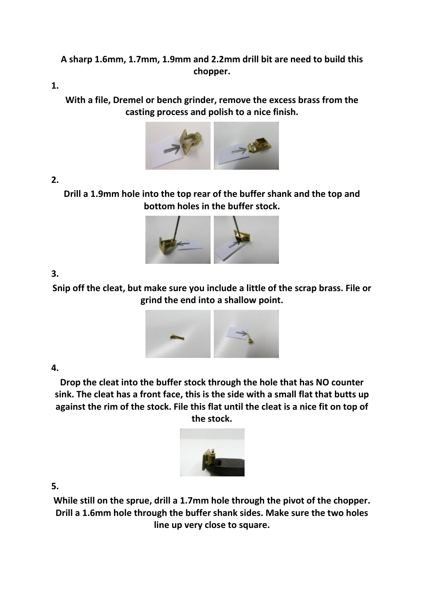# **A sharp 1.6mm, 1.7mm, 1.9mm and 2.2mm drill bit are need to build this chopper.**

**1.** 

**With a file, Dremel or bench grinder, remove the excess brass from the casting process and polish to a nice finish.**



**2.** 

**Drill a 1.9mm hole into the top rear of the buffer shank and the top and bottom holes in the buffer stock.**



**3.** 

**Snip off the cleat, but make sure you include a little of the scrap brass. File or grind the end into a shallow point.**



## **4.**

**Drop the cleat into the buffer stock through the hole that has NO counter sink. The cleat has a front face, this is the side with a small flat that butts up against the rim of the stock. File this flat until the cleat is a nice fit on top of the stock.**



**5.** 

**While still on the sprue, drill a 1.7mm hole through the pivot of the chopper. Drill a 1.6mm hole through the buffer shank sides. Make sure the two holes line up very close to square.**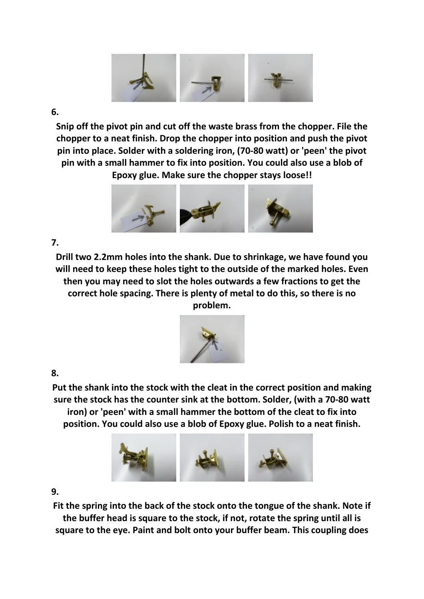

#### **6.**

**Snip off the pivot pin and cut off the waste brass from the chopper. File the chopper to a neat finish. Drop the chopper into position and push the pivot pin into place. Solder with a soldering iron, (70-80 watt) or 'peen' the pivot pin with a small hammer to fix into position. You could also use a blob of Epoxy glue. Make sure the chopper stays loose!!**



## **7.**

**Drill two 2.2mm holes into the shank. Due to shrinkage, we have found you will need to keep these holes tight to the outside of the marked holes. Even then you may need to slot the holes outwards a few fractions to get the correct hole spacing. There is plenty of metal to do this, so there is no problem.**



## **8.**

**Put the shank into the stock with the cleat in the correct position and making sure the stock has the counter sink at the bottom. Solder, (with a 70-80 watt iron) or 'peen' with a small hammer the bottom of the cleat to fix into position. You could also use a blob of Epoxy glue. Polish to a neat finish.**



## **9.**

**Fit the spring into the back of the stock onto the tongue of the shank. Note if the buffer head is square to the stock, if not, rotate the spring until all is square to the eye. Paint and bolt onto your buffer beam. This coupling does**